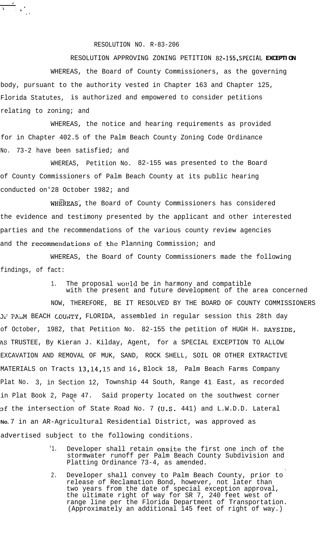## RESOLUTION NO. R-83-206

 $\frac{1}{3}$ 

## RESOLUTION APPROVING ZONING PETITION **82-155,SPECIAL EXCEPTION**

WHEREAS, the Board of County Commissioners, as the governing body, pursuant to the authority vested in Chapter 163 and Chapter 125, Florida Statutes, is authorized and empowered to consider petitions relating to zoning; and

WHEREAS, the notice and hearing requirements as provided for in Chapter 402.5 of the Palm Beach County Zoning Code Ordinance No. 73-2 have been satisfied; and

WHEREAS, Petition No. 82-155 was presented to the Board of County Commissioners of Palm Beach County at its public hearing conducted on'28 October 1982; and

WHEREAS, the Board of County Commissioners has considered the evidence and testimony presented by the applicant and other interested parties and the recommendations of the various county review agencies and the recommendations of the Planning Commission; and

WHEREAS, the Board of County Commissioners made the following findings, of fact:

> 1. The proposal would be in harmony and compatible with the present and future development of the area concerned

NOW, THEREFORE, BE IT RESOLVED BY THE BOARD OF COUNTY COMMISSIONERS 3L: P&M BEACH COU;JTY, FLORIDA, assembled in regular session this 28th day of October, 1982, that Petition No. 82-155 the petition of HUGH H. RAYSIDE, A.S TRUSTEE, By Kieran J. Kilday, Agent, for a SPECIAL EXCEPTION TO ALLOW EXCAVATION AND REMOVAL OF MUK, SAND, ROCK SHELL, SOIL OR OTHER EXTRACTIVE MATERIALS on Tracts 13,14,15 and 16, Block 18, Palm Beach Farms Company Plat No. 3, in Section 12, Township 44 South, Range 41. East, as recorded in Plat Book 2, Page 47. Said property located on the southwest corner  $\ddot{\phantom{1}}$ of the intersection of State Road No. 7 (U.S. 441) and L.W.D.D. Lateral **No.** 7 in an AR-Agricultural Residential District, was approved as advertised subject to the following conditions.

> '1. Developer shall retain onsite the first one inch of the stormwater runoff per Palm Beach County Subdivision and Platting Ordinance 73-4, as amended.

> > .

2. Developer shall convey to Palm Beach County, prior to release of Reclamation Bond, however, not later than two years from the date of special exception approval, the ultimate right of way for SR 7, 240 feet west of range line per the Florida Department of Transportation. (Approximately an additional 145 feet of right of way.)